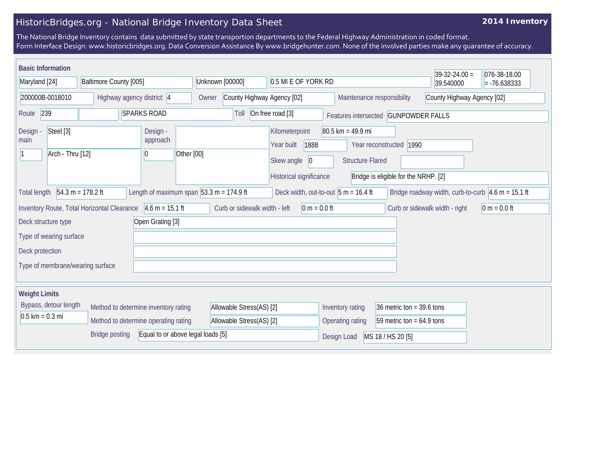## HistoricBridges.org - National Bridge Inventory Data Sheet

## **2014 Inventory**

The National Bridge Inventory contains data submitted by state transportion departments to the Federal Highway Administration in coded format. Form Interface Design: www.historicbridges.org. Data Conversion Assistance By www.bridgehunter.com. None of the involved parties make any guarantee of accuracy.

| <b>Basic Information</b>                                                  |                                             |                                                              |                          |                               |                                              |                                        |                                      | $39-32-24.00 =$                                                        | 076-38-18.00   |
|---------------------------------------------------------------------------|---------------------------------------------|--------------------------------------------------------------|--------------------------|-------------------------------|----------------------------------------------|----------------------------------------|--------------------------------------|------------------------------------------------------------------------|----------------|
| Maryland [24]<br>Baltimore County [005]                                   |                                             | Unknown [00000]<br>0.5 MI E OF YORK RD                       |                          |                               |                                              |                                        | 39.540000                            | $= -76.638333$                                                         |                |
| 200000B-0018010<br>Highway agency district: 4                             |                                             |                                                              | Owner                    | County Highway Agency [02]    |                                              |                                        | Maintenance responsibility           | County Highway Agency [02]                                             |                |
| 239<br><b>SPARKS ROAD</b><br>Route                                        |                                             |                                                              |                          | Toll                          | On free road [3]                             |                                        | Features intersected GUNPOWDER FALLS |                                                                        |                |
| Steel [3]<br>Design<br>main<br>Arch - Thru [12]                           |                                             | Design -<br>approach<br>Other [00]<br>10                     |                          |                               | Kilometerpoint<br>1888<br>Year built         | 80.5 km = 49.9 mi                      | Year reconstructed   1990            |                                                                        |                |
|                                                                           |                                             |                                                              |                          |                               | Skew angle<br> 0 <br>Historical significance | <b>Structure Flared</b>                | Bridge is eligible for the NRHP. [2] |                                                                        |                |
| <b>Total length</b>                                                       | $54.3 m = 178.2 ft$                         | Length of maximum span $ 53.3 \text{ m} = 174.9 \text{ ft} $ |                          |                               |                                              | Deck width, out-to-out $5 m = 16.4 ft$ |                                      | Bridge roadway width, curb-to-curb $ 4.6 \text{ m} = 15.1 \text{ ft} $ |                |
|                                                                           | Inventory Route, Total Horizontal Clearance | $4.6 m = 15.1 ft$                                            |                          | Curb or sidewalk width - left | $0 m = 0.0 ft$                               |                                        |                                      | Curb or sidewalk width - right                                         | $0 m = 0.0 ft$ |
| Deck structure type                                                       |                                             | Open Grating [3]                                             |                          |                               |                                              |                                        |                                      |                                                                        |                |
| Type of wearing surface                                                   |                                             |                                                              |                          |                               |                                              |                                        |                                      |                                                                        |                |
| Deck protection                                                           |                                             |                                                              |                          |                               |                                              |                                        |                                      |                                                                        |                |
| Type of membrane/wearing surface                                          |                                             |                                                              |                          |                               |                                              |                                        |                                      |                                                                        |                |
| <b>Weight Limits</b>                                                      |                                             |                                                              |                          |                               |                                              |                                        |                                      |                                                                        |                |
| Bypass, detour length                                                     |                                             | Method to determine inventory rating                         |                          | Allowable Stress(AS) [2]      |                                              | Inventory rating                       | 36 metric ton = $39.6$ tons          |                                                                        |                |
| $0.5 \text{ km} = 0.3 \text{ mi}$<br>Method to determine operating rating |                                             |                                                              | Allowable Stress(AS) [2] |                               | Operating rating                             | 59 metric ton = $64.9$ tons            |                                      |                                                                        |                |
| Equal to or above legal loads [5]<br><b>Bridge posting</b>                |                                             |                                                              |                          | Design Load                   | MS 18 / HS 20 [5]                            |                                        |                                      |                                                                        |                |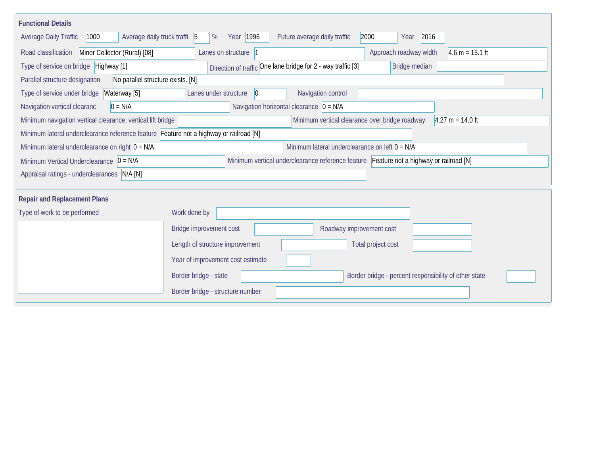| <b>Functional Details</b>                                                                                                              |                                                                                |  |  |  |  |  |  |  |
|----------------------------------------------------------------------------------------------------------------------------------------|--------------------------------------------------------------------------------|--|--|--|--|--|--|--|
| Average daily truck traffi 5<br>Average Daily Traffic<br>1000                                                                          | 2016<br>Year 1996<br>Future average daily traffic<br>2000<br>%<br>Year         |  |  |  |  |  |  |  |
| Minor Collector (Rural) [08]<br>Road classification                                                                                    | $4.6 m = 15.1 ft$<br>Approach roadway width<br>Lanes on structure 1            |  |  |  |  |  |  |  |
| Type of service on bridge Highway [1]                                                                                                  | Direction of traffic One lane bridge for 2 - way traffic [3]<br>Bridge median  |  |  |  |  |  |  |  |
| No parallel structure exists. [N]<br>Parallel structure designation                                                                    |                                                                                |  |  |  |  |  |  |  |
| Type of service under bridge<br>Waterway [5]                                                                                           | Navigation control<br>Lanes under structure<br> 0                              |  |  |  |  |  |  |  |
| $0 = N/A$<br>Navigation vertical clearanc                                                                                              | Navigation horizontal clearance $ 0 = N/A $                                    |  |  |  |  |  |  |  |
| Minimum navigation vertical clearance, vertical lift bridge                                                                            | Minimum vertical clearance over bridge roadway<br>$4.27 m = 14.0 ft$           |  |  |  |  |  |  |  |
| Minimum lateral underclearance reference feature Feature not a highway or railroad [N]                                                 |                                                                                |  |  |  |  |  |  |  |
| Minimum lateral underclearance on right $0 = N/A$                                                                                      | Minimum lateral underclearance on left $0 = N/A$                               |  |  |  |  |  |  |  |
| Minimum vertical underclearance reference feature Feature not a highway or railroad [N]<br>Minimum Vertical Underclearance $ 0 = N/A $ |                                                                                |  |  |  |  |  |  |  |
| Appraisal ratings - underclearances N/A [N]                                                                                            |                                                                                |  |  |  |  |  |  |  |
|                                                                                                                                        |                                                                                |  |  |  |  |  |  |  |
| <b>Repair and Replacement Plans</b>                                                                                                    |                                                                                |  |  |  |  |  |  |  |
| Type of work to be performed                                                                                                           | Work done by                                                                   |  |  |  |  |  |  |  |
|                                                                                                                                        | Bridge improvement cost<br>Roadway improvement cost                            |  |  |  |  |  |  |  |
|                                                                                                                                        | Length of structure improvement<br>Total project cost                          |  |  |  |  |  |  |  |
|                                                                                                                                        | Year of improvement cost estimate                                              |  |  |  |  |  |  |  |
|                                                                                                                                        | Border bridge - state<br>Border bridge - percent responsibility of other state |  |  |  |  |  |  |  |
|                                                                                                                                        | Border bridge - structure number                                               |  |  |  |  |  |  |  |